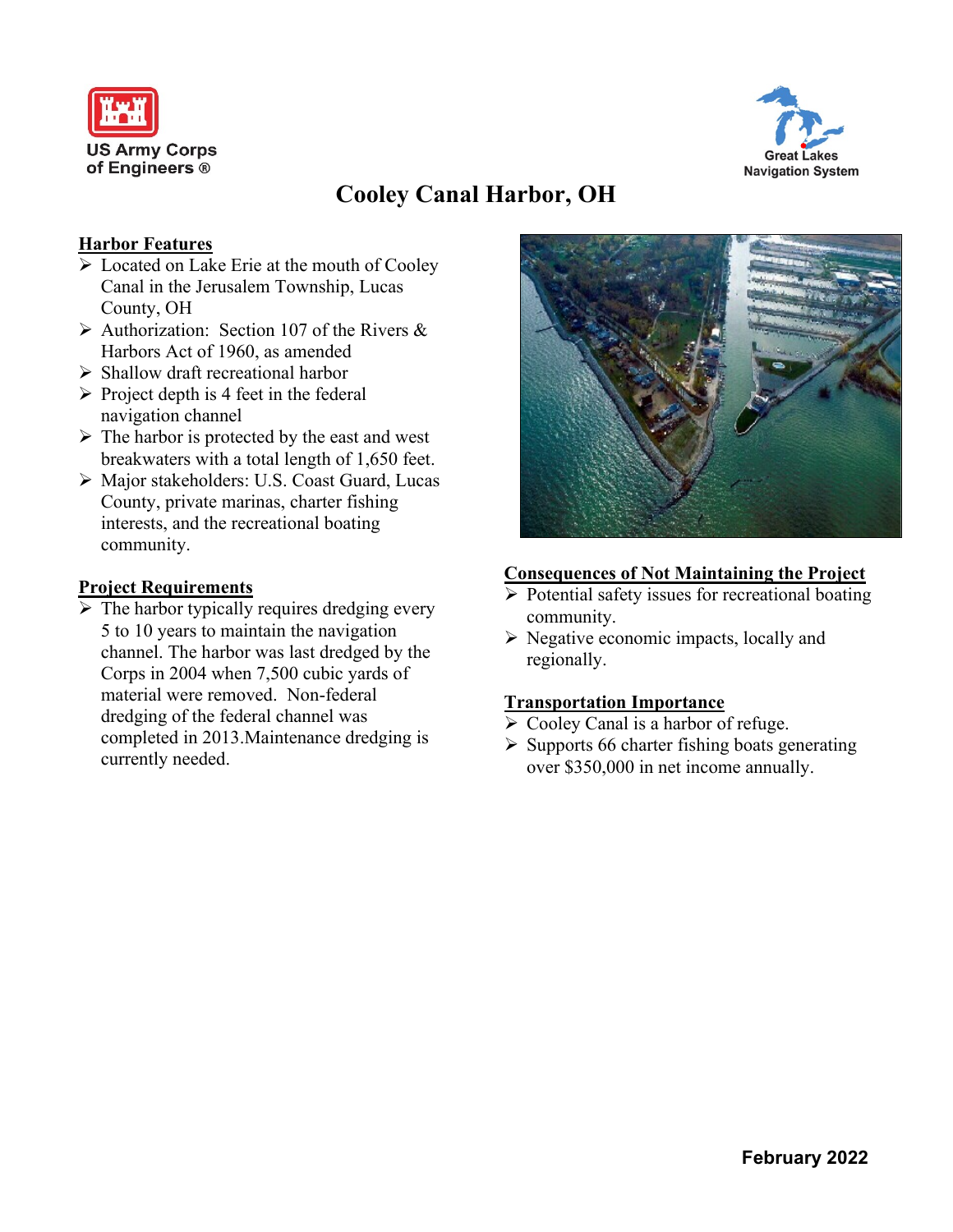



# **Cooley Canal Harbor, OH**

### **Harbor Features**

- ➢ Located on Lake Erie at the mouth of Cooley Canal in the Jerusalem Township, Lucas County, OH
- $\triangleright$  Authorization: Section 107 of the Rivers & Harbors Act of 1960, as amended
- ➢ Shallow draft recreational harbor
- $\triangleright$  Project depth is 4 feet in the federal navigation channel
- $\triangleright$  The harbor is protected by the east and west breakwaters with a total length of 1,650 feet.
- ➢ Major stakeholders: U.S. Coast Guard, Lucas County, private marinas, charter fishing interests, and the recreational boating community.

#### **Project Requirements**

 $\triangleright$  The harbor typically requires dredging every 5 to 10 years to maintain the navigation channel. The harbor was last dredged by the Corps in 2004 when 7,500 cubic yards of material were removed. Non-federal dredging of the federal channel was completed in 2013.Maintenance dredging is currently needed.



#### **Consequences of Not Maintaining the Project**

- ➢ Potential safety issues for recreational boating community.
- ➢ Negative economic impacts, locally and regionally.

#### **Transportation Importance**

- ➢ Cooley Canal is a harbor of refuge.
- $\triangleright$  Supports 66 charter fishing boats generating over \$350,000 in net income annually.